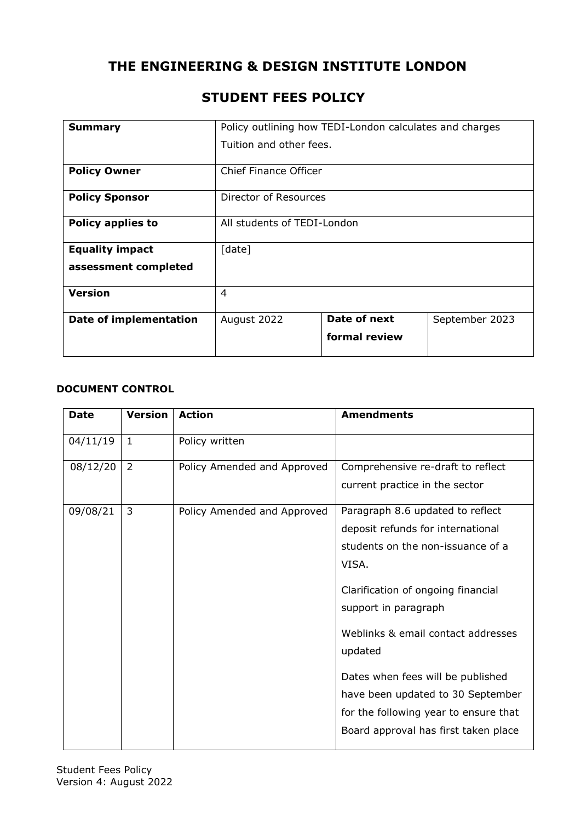# **THE ENGINEERING & DESIGN INSTITUTE LONDON**

| <b>Summary</b>                | Policy outlining how TEDI-London calculates and charges |               |                |
|-------------------------------|---------------------------------------------------------|---------------|----------------|
|                               | Tuition and other fees.                                 |               |                |
| <b>Policy Owner</b>           | <b>Chief Finance Officer</b>                            |               |                |
| <b>Policy Sponsor</b>         | Director of Resources                                   |               |                |
| <b>Policy applies to</b>      | All students of TEDI-London                             |               |                |
| <b>Equality impact</b>        | [date]                                                  |               |                |
| assessment completed          |                                                         |               |                |
| <b>Version</b>                | $\overline{4}$                                          |               |                |
| <b>Date of implementation</b> | August 2022                                             | Date of next  | September 2023 |
|                               |                                                         | formal review |                |

# **STUDENT FEES POLICY**

#### **DOCUMENT CONTROL**

| <b>Date</b> | <b>Version</b> | <b>Action</b>               | <b>Amendments</b>                     |
|-------------|----------------|-----------------------------|---------------------------------------|
| 04/11/19    | $\mathbf{1}$   | Policy written              |                                       |
| 08/12/20    | $\overline{2}$ | Policy Amended and Approved | Comprehensive re-draft to reflect     |
|             |                |                             | current practice in the sector        |
| 09/08/21    | 3              | Policy Amended and Approved | Paragraph 8.6 updated to reflect      |
|             |                |                             | deposit refunds for international     |
|             |                |                             | students on the non-issuance of a     |
|             |                |                             | VISA.                                 |
|             |                |                             | Clarification of ongoing financial    |
|             |                |                             | support in paragraph                  |
|             |                |                             | Weblinks & email contact addresses    |
|             |                |                             | updated                               |
|             |                |                             | Dates when fees will be published     |
|             |                |                             | have been updated to 30 September     |
|             |                |                             | for the following year to ensure that |
|             |                |                             | Board approval has first taken place  |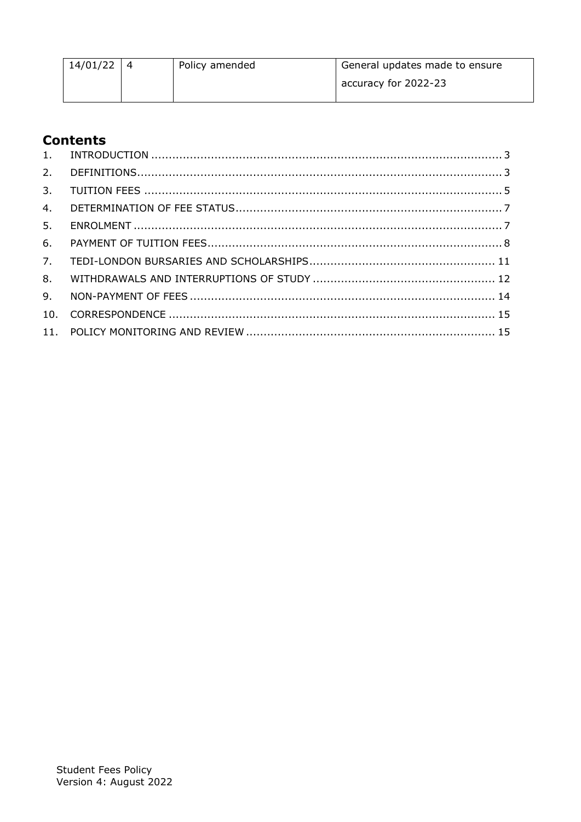| 14/01/22 | Policy amended | General updates made to ensure |
|----------|----------------|--------------------------------|
|          |                | accuracy for 2022-23           |

# **Contents**

| 4. |  |
|----|--|
| 5. |  |
| 6. |  |
| 7. |  |
| 8. |  |
|    |  |
|    |  |
|    |  |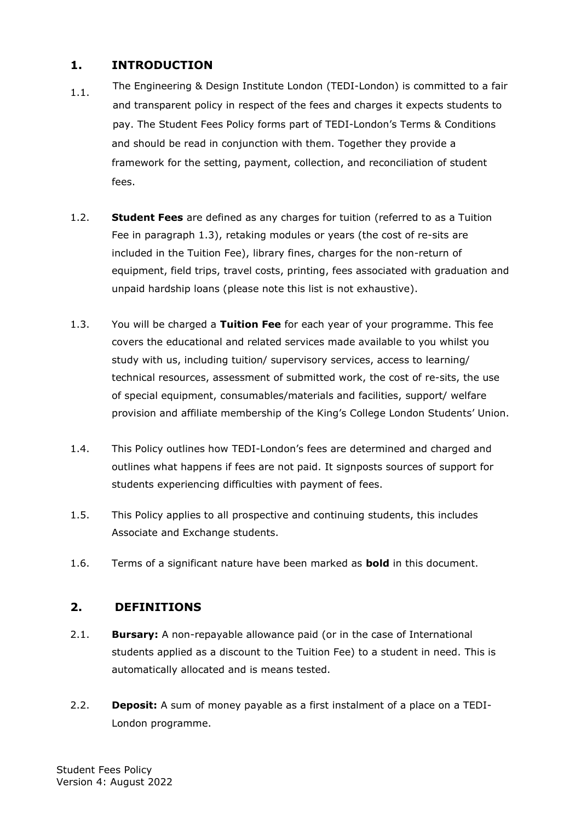#### <span id="page-2-0"></span>**1. INTRODUCTION**

- 1.1. The Engineering & Design Institute London (TEDI-London) is committed to a fair and transparent policy in respect of the fees and charges it expects students to pay. The Student Fees Policy forms part of TEDI-London's Terms & Conditions and should be read in conjunction with them. Together they provide a framework for the setting, payment, collection, and reconciliation of student fees.
- 1.2. **Student Fees** are defined as any charges for tuition (referred to as a Tuition Fee in paragraph 1.3), retaking modules or years (the cost of re-sits are included in the Tuition Fee), library fines, charges for the non-return of equipment, field trips, travel costs, printing, fees associated with graduation and unpaid hardship loans (please note this list is not exhaustive).
- 1.3. You will be charged a **Tuition Fee** for each year of your programme. This fee covers the educational and related services made available to you whilst you study with us, including tuition/ supervisory services, access to learning/ technical resources, assessment of submitted work, the cost of re-sits, the use of special equipment, consumables/materials and facilities, support/ welfare provision and affiliate membership of the King's College London Students' Union.
- 1.4. This Policy outlines how TEDI-London's fees are determined and charged and outlines what happens if fees are not paid. It signposts sources of support for students experiencing difficulties with payment of fees.
- 1.5. This Policy applies to all prospective and continuing students, this includes Associate and Exchange students.
- 1.6. Terms of a significant nature have been marked as **bold** in this document.

## <span id="page-2-1"></span>**2. DEFINITIONS**

- 2.1. **Bursary:** A non-repayable allowance paid (or in the case of International students applied as a discount to the Tuition Fee) to a student in need. This is automatically allocated and is means tested.
- 2.2. **Deposit:** A sum of money payable as a first instalment of a place on a TEDI-London programme.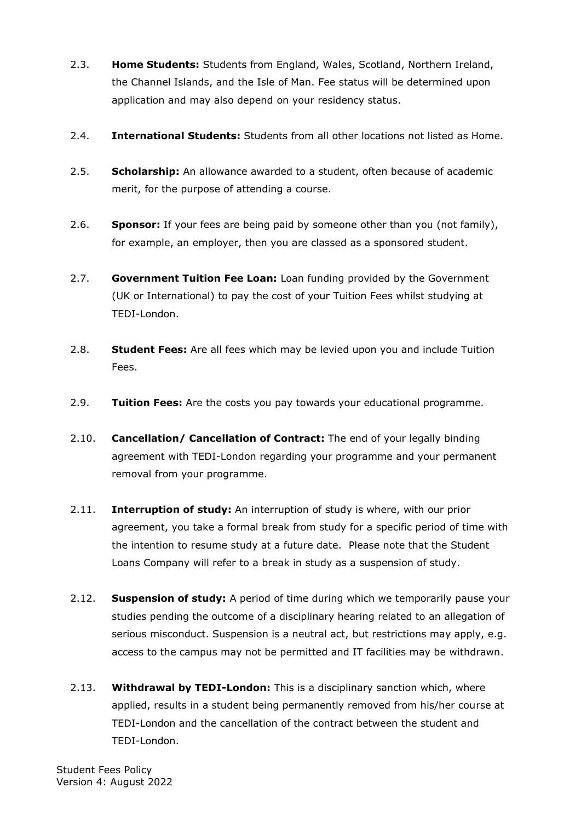- 2.3. **Home Students:** Students from England, Wales, Scotland, Northern Ireland, the Channel Islands, and the Isle of Man. Fee status will be determined upon application and may also depend on your residency status.
- 2.4. **International Students:** Students from all other locations not listed as Home.
- 2.5. **Scholarship:** An allowance awarded to a student, often because of academic merit, for the purpose of attending a course.
- 2.6. **Sponsor:** If your fees are being paid by someone other than you (not family), for example, an employer, then you are classed as a sponsored student.
- 2.7. **Government Tuition Fee Loan:** Loan funding provided by the Government (UK or International) to pay the cost of your Tuition Fees whilst studying at TEDI-London.
- 2.8. **Student Fees:** Are all fees which may be levied upon you and include Tuition Fees.
- 2.9. **Tuition Fees:** Are the costs you pay towards your educational programme.
- 2.10. **Cancellation/ Cancellation of Contract:** The end of your legally binding agreement with TEDI-London regarding your programme and your permanent removal from your programme.
- 2.11. **Interruption of study:** An interruption of study is where, with our prior agreement, you take a formal break from study for a specific period of time with the intention to resume study at a future date. Please note that the Student Loans Company will refer to a break in study as a suspension of study.
- 2.12. **Suspension of study:** A period of time during which we temporarily pause your studies pending the outcome of a disciplinary hearing related to an allegation of serious misconduct. Suspension is a neutral act, but restrictions may apply, e.g. access to the campus may not be permitted and IT facilities may be withdrawn.
- 2.13. **Withdrawal by TEDI-London:** This is a disciplinary sanction which, where applied, results in a student being permanently removed from his/her course at TEDI-London and the cancellation of the contract between the student and TEDI-London.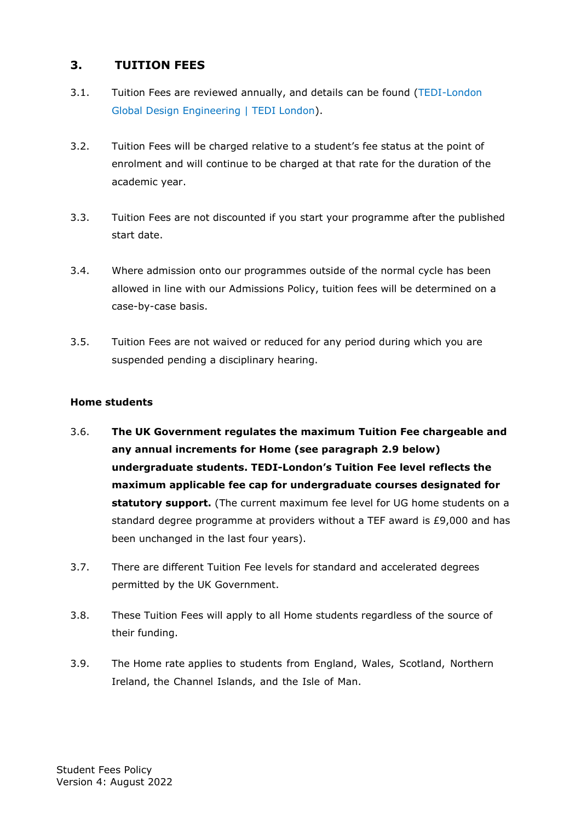## <span id="page-4-0"></span>**3. TUITION FEES**

- 3.1. Tuition Fees are reviewed annually, and details can be found [\(TEDI-London](https://tedi-london.ac.uk/learn/global-design-engineering/)  [Global Design Engineering | TEDI London\)](https://tedi-london.ac.uk/learn/global-design-engineering/).
- 3.2. Tuition Fees will be charged relative to a student's fee status at the point of enrolment and will continue to be charged at that rate for the duration of the academic year.
- 3.3. Tuition Fees are not discounted if you start your programme after the published start date.
- 3.4. Where admission onto our programmes outside of the normal cycle has been allowed in line with our Admissions Policy, tuition fees will be determined on a case-by-case basis.
- 3.5. Tuition Fees are not waived or reduced for any period during which you are suspended pending a disciplinary hearing.

#### **Home students**

- 3.6. **The UK Government regulates the maximum Tuition Fee chargeable and any annual increments for Home (see paragraph 2.9 below) undergraduate students. TEDI-London's Tuition Fee level reflects the maximum applicable fee cap for undergraduate courses designated for statutory support.** (The current maximum fee level for UG home students on a standard degree programme at providers without a TEF award is £9,000 and has been unchanged in the last four years).
- 3.7. There are different Tuition Fee levels for standard and accelerated degrees permitted by the UK Government.
- 3.8. These Tuition Fees will apply to all Home students regardless of the source of their funding.
- 3.9. The Home rate applies to students from England, Wales, Scotland, Northern Ireland, the Channel Islands, and the Isle of Man.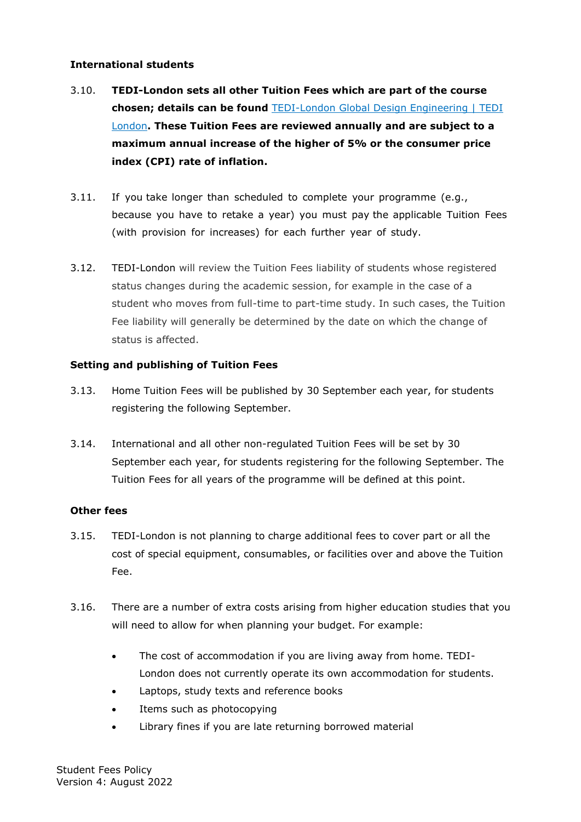#### **International students**

- 3.10. **TEDI-London sets all other Tuition Fees which are part of the course chosen; details can be found** [TEDI-London Global Design Engineering | TEDI](https://tedi-london.ac.uk/learn/global-design-engineering/)  [London](https://tedi-london.ac.uk/learn/global-design-engineering/)**. These Tuition Fees are reviewed annually and are subject to a maximum annual increase of the higher of 5% or the consumer price index (CPI) rate of inflation.**
- 3.11. If you take longer than scheduled to complete your programme (e.g., because you have to retake a year) you must pay the applicable Tuition Fees (with provision for increases) for each further year of study.
- 3.12. TEDI-London will review the Tuition Fees liability of students whose registered status changes during the academic session, for example in the case of a student who moves from full-time to part-time study. In such cases, the Tuition Fee liability will generally be determined by the date on which the change of status is affected.

#### **Setting and publishing of Tuition Fees**

- 3.13. Home Tuition Fees will be published by 30 September each year, for students registering the following September.
- 3.14. International and all other non-regulated Tuition Fees will be set by 30 September each year, for students registering for the following September. The Tuition Fees for all years of the programme will be defined at this point.

#### **Other fees**

- 3.15. TEDI-London is not planning to charge additional fees to cover part or all the cost of special equipment, consumables, or facilities over and above the Tuition Fee.
- 3.16. There are a number of extra costs arising from higher education studies that you will need to allow for when planning your budget. For example:
	- The cost of accommodation if you are living away from home. TEDI-London does not currently operate its own accommodation for students.
	- Laptops, study texts and reference books
	- Items such as photocopying
	- Library fines if you are late returning borrowed material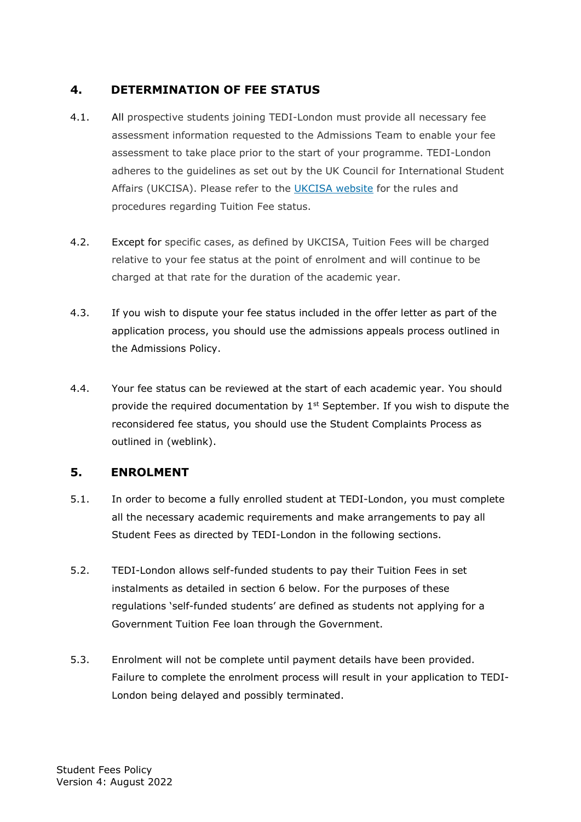## <span id="page-6-0"></span>**4. DETERMINATION OF FEE STATUS**

- 4.1. All prospective students joining TEDI-London must provide all necessary fee assessment information requested to the Admissions Team to enable your fee assessment to take place prior to the start of your programme. TEDI-London adheres to the guidelines as set out by the UK Council for International Student Affairs (UKCISA). Please refer to the [UKCISA website](http://www.ukcisa.org.uk/) for the rules and procedures regarding Tuition Fee status.
- 4.2. Except for specific cases, as defined by UKCISA, Tuition Fees will be charged relative to your fee status at the point of enrolment and will continue to be charged at that rate for the duration of the academic year.
- 4.3. If you wish to dispute your fee status included in the offer letter as part of the application process, you should use the admissions appeals process outlined in the Admissions Policy.
- 4.4. Your fee status can be reviewed at the start of each academic year. You should provide the required documentation by  $1<sup>st</sup>$  September. If you wish to dispute the reconsidered fee status, you should use the Student Complaints Process as outlined in (weblink).

### <span id="page-6-1"></span>**5. ENROLMENT**

- 5.1. In order to become a fully enrolled student at TEDI-London, you must complete all the necessary academic requirements and make arrangements to pay all Student Fees as directed by TEDI-London in the following sections.
- 5.2. TEDI-London allows self-funded students to pay their Tuition Fees in set instalments as detailed in section 6 below. For the purposes of these regulations 'self-funded students' are defined as students not applying for a Government Tuition Fee loan through the Government.
- 5.3. Enrolment will not be complete until payment details have been provided. Failure to complete the enrolment process will result in your application to TEDI-London being delayed and possibly terminated.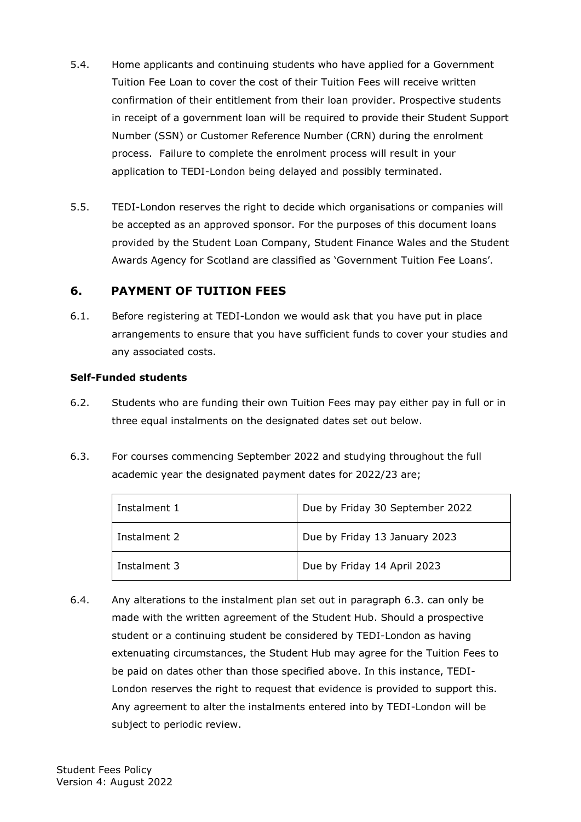- 5.4. Home applicants and continuing students who have applied for a Government Tuition Fee Loan to cover the cost of their Tuition Fees will receive written confirmation of their entitlement from their loan provider. Prospective students in receipt of a government loan will be required to provide their Student Support Number (SSN) or Customer Reference Number (CRN) during the enrolment process. Failure to complete the enrolment process will result in your application to TEDI-London being delayed and possibly terminated.
- 5.5. TEDI-London reserves the right to decide which organisations or companies will be accepted as an approved sponsor. For the purposes of this document loans provided by the Student Loan Company, Student Finance Wales and the Student Awards Agency for Scotland are classified as 'Government Tuition Fee Loans'.

## <span id="page-7-0"></span>**6. PAYMENT OF TUITION FEES**

6.1. Before registering at TEDI-London we would ask that you have put in place arrangements to ensure that you have sufficient funds to cover your studies and any associated costs.

#### **Self-Funded students**

- 6.2. Students who are funding their own Tuition Fees may pay either pay in full or in three equal instalments on the designated dates set out below.
- 6.3. For courses commencing September 2022 and studying throughout the full academic year the designated payment dates for 2022/23 are;

| Instalment 1 | Due by Friday 30 September 2022 |
|--------------|---------------------------------|
| Instalment 2 | Due by Friday 13 January 2023   |
| Instalment 3 | Due by Friday 14 April 2023     |

6.4. Any alterations to the instalment plan set out in paragraph 6.3. can only be made with the written agreement of the Student Hub. Should a prospective student or a continuing student be considered by TEDI-London as having extenuating circumstances, the Student Hub may agree for the Tuition Fees to be paid on dates other than those specified above. In this instance, TEDI-London reserves the right to request that evidence is provided to support this. Any agreement to alter the instalments entered into by TEDI-London will be subject to periodic review.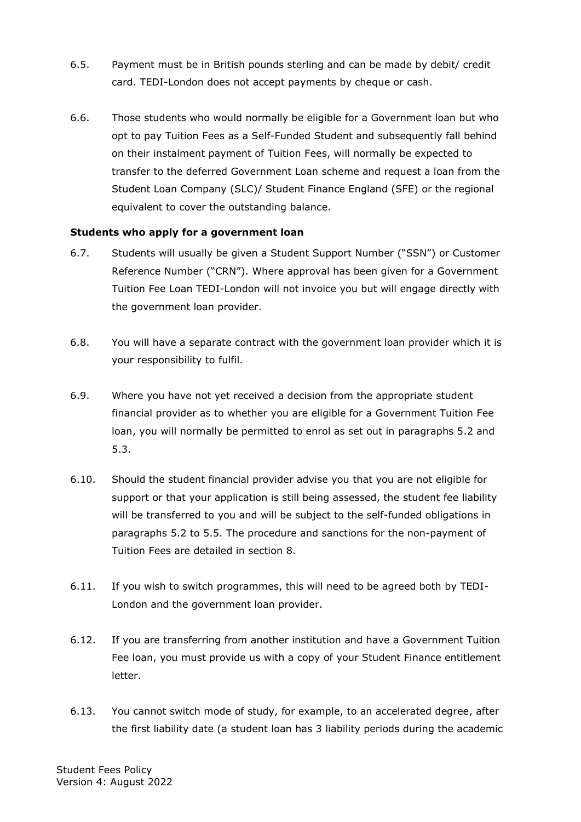- 6.5. Payment must be in British pounds sterling and can be made by debit/ credit card. TEDI-London does not accept payments by cheque or cash.
- 6.6. Those students who would normally be eligible for a Government loan but who opt to pay Tuition Fees as a Self-Funded Student and subsequently fall behind on their instalment payment of Tuition Fees, will normally be expected to transfer to the deferred Government Loan scheme and request a loan from the Student Loan Company (SLC)/ Student Finance England (SFE) or the regional equivalent to cover the outstanding balance.

#### **Students who apply for a government loan**

- 6.7. Students will usually be given a Student Support Number ("SSN") or Customer Reference Number ("CRN"). Where approval has been given for a Government Tuition Fee Loan TEDI-London will not invoice you but will engage directly with the government loan provider.
- 6.8. You will have a separate contract with the government loan provider which it is your responsibility to fulfil.
- 6.9. Where you have not yet received a decision from the appropriate student financial provider as to whether you are eligible for a Government Tuition Fee loan, you will normally be permitted to enrol as set out in paragraphs 5.2 and 5.3.
- 6.10. Should the student financial provider advise you that you are not eligible for support or that your application is still being assessed, the student fee liability will be transferred to you and will be subject to the self-funded obligations in paragraphs 5.2 to 5.5. The procedure and sanctions for the non-payment of Tuition Fees are detailed in section 8.
- 6.11. If you wish to switch programmes, this will need to be agreed both by TEDI-London and the government loan provider.
- 6.12. If you are transferring from another institution and have a Government Tuition Fee loan, you must provide us with a copy of your Student Finance entitlement letter.
- 6.13. You cannot switch mode of study, for example, to an accelerated degree, after the first liability date (a student loan has 3 liability periods during the academic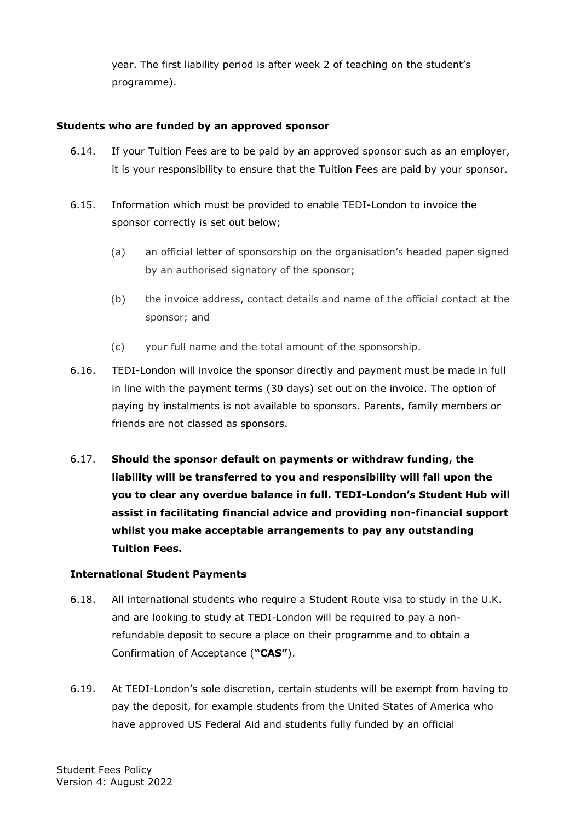year. The first liability period is after week 2 of teaching on the student's programme).

#### **Students who are funded by an approved sponsor**

- 6.14. If your Tuition Fees are to be paid by an approved sponsor such as an employer, it is your responsibility to ensure that the Tuition Fees are paid by your sponsor.
- 6.15. Information which must be provided to enable TEDI-London to invoice the sponsor correctly is set out below;
	- (a) an official letter of sponsorship on the organisation's headed paper signed by an authorised signatory of the sponsor;
	- (b) the invoice address, contact details and name of the official contact at the sponsor; and
	- (c) your full name and the total amount of the sponsorship.
- 6.16. TEDI-London will invoice the sponsor directly and payment must be made in full in line with the payment terms (30 days) set out on the invoice. The option of paying by instalments is not available to sponsors. Parents, family members or friends are not classed as sponsors.
- 6.17. **Should the sponsor default on payments or withdraw funding, the liability will be transferred to you and responsibility will fall upon the you to clear any overdue balance in full. TEDI-London's Student Hub will assist in facilitating financial advice and providing non-financial support whilst you make acceptable arrangements to pay any outstanding Tuition Fees.**

#### **International Student Payments**

- 6.18. All international students who require a Student Route visa to study in the U.K. and are looking to study at TEDI-London will be required to pay a nonrefundable deposit to secure a place on their programme and to obtain a Confirmation of Acceptance (**"CAS"**).
- 6.19. At TEDI-London's sole discretion, certain students will be exempt from having to pay the deposit, for example students from the United States of America who have approved US Federal Aid and students fully funded by an official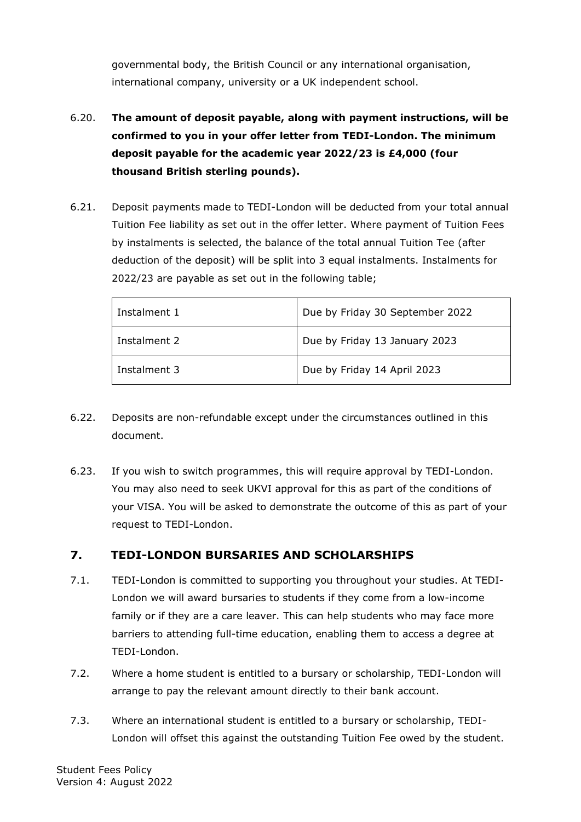governmental body, the British Council or any international organisation, international company, university or a UK independent school.

- 6.20. **The amount of deposit payable, along with payment instructions, will be confirmed to you in your offer letter from TEDI-London. The minimum deposit payable for the academic year 2022/23 is £4,000 (four thousand British sterling pounds).**
- 6.21. Deposit payments made to TEDI-London will be deducted from your total annual Tuition Fee liability as set out in the offer letter. Where payment of Tuition Fees by instalments is selected, the balance of the total annual Tuition Tee (after deduction of the deposit) will be split into 3 equal instalments. Instalments for 2022/23 are payable as set out in the following table;

| Instalment 1 | Due by Friday 30 September 2022 |
|--------------|---------------------------------|
| Instalment 2 | Due by Friday 13 January 2023   |
| Instalment 3 | Due by Friday 14 April 2023     |

- 6.22. Deposits are non-refundable except under the circumstances outlined in this document.
- 6.23. If you wish to switch programmes, this will require approval by TEDI-London. You may also need to seek UKVI approval for this as part of the conditions of your VISA. You will be asked to demonstrate the outcome of this as part of your request to TEDI-London.

# <span id="page-10-0"></span>**7. TEDI-LONDON BURSARIES AND SCHOLARSHIPS**

- 7.1. TEDI-London is committed to supporting you throughout your studies. At TEDI-London we will award bursaries to students if they come from a low-income family or if they are a care leaver. This can help students who may face more barriers to attending full-time education, enabling them to access a degree at TEDI-London.
- 7.2. Where a home student is entitled to a bursary or scholarship, TEDI-London will arrange to pay the relevant amount directly to their bank account.
- 7.3. Where an international student is entitled to a bursary or scholarship, TEDI-London will offset this against the outstanding Tuition Fee owed by the student.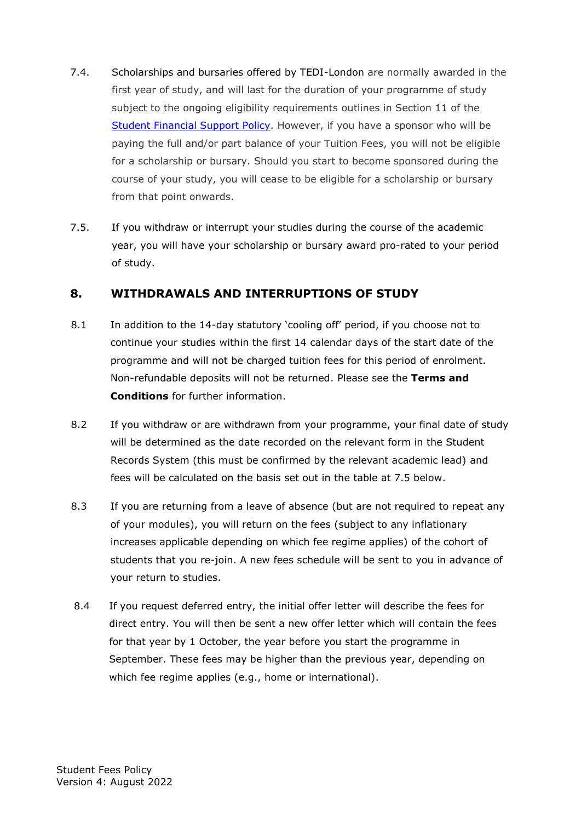- 7.4. Scholarships and bursaries offered by TEDI-London are normally awarded in the first year of study, and will last for the duration of your programme of study subject to the ongoing eligibility requirements outlines in Section 11 of the [Student Financial](https://tedi-london.ac.uk/wp-content/uploads/2021/10/Student-Financial-Support-Policy_final-V2.pdf) Support Policy. However, if you have a sponsor who will be paying the full and/or part balance of your Tuition Fees, you will not be eligible for a scholarship or bursary. Should you start to become sponsored during the course of your study, you will cease to be eligible for a scholarship or bursary from that point onwards.
- 7.5. If you withdraw or interrupt your studies during the course of the academic year, you will have your scholarship or bursary award pro-rated to your period of study.

## <span id="page-11-0"></span>**8. WITHDRAWALS AND INTERRUPTIONS OF STUDY**

- 8.1 In addition to the 14-day statutory 'cooling off' period, if you choose not to continue your studies within the first 14 calendar days of the start date of the programme and will not be charged tuition fees for this period of enrolment. Non-refundable deposits will not be returned. Please see the **Terms and Conditions** for further information.
- 8.2 If you withdraw or are withdrawn from your programme, your final date of study will be determined as the date recorded on the relevant form in the Student Records System (this must be confirmed by the relevant academic lead) and fees will be calculated on the basis set out in the table at 7.5 below.
- 8.3 If you are returning from a leave of absence (but are not required to repeat any of your modules), you will return on the fees (subject to any inflationary increases applicable depending on which fee regime applies) of the cohort of students that you re-join. A new fees schedule will be sent to you in advance of your return to studies.
- 8.4 If you request deferred entry, the initial offer letter will describe the fees for direct entry. You will then be sent a new offer letter which will contain the fees for that year by 1 October, the year before you start the programme in September. These fees may be higher than the previous year, depending on which fee regime applies (e.g., home or international).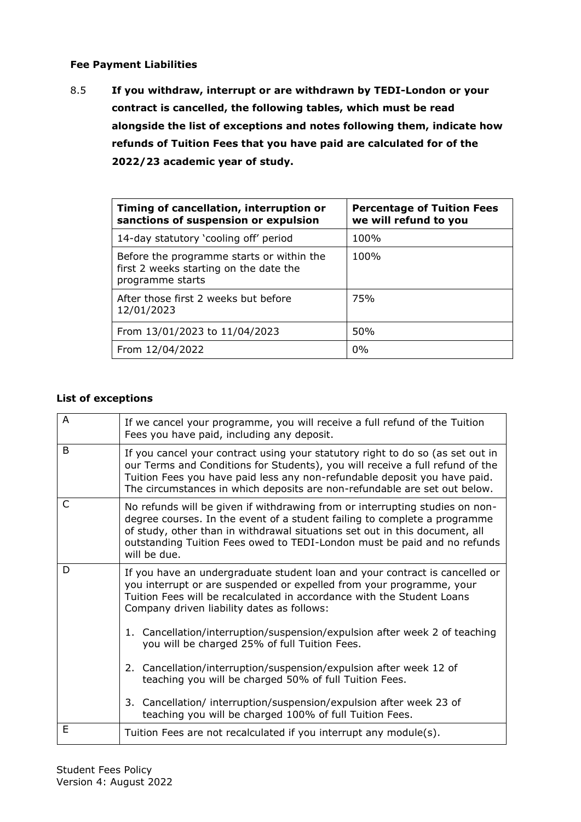#### **Fee Payment Liabilities**

8.5 **If you withdraw, interrupt or are withdrawn by TEDI-London or your contract is cancelled, the following tables, which must be read alongside the list of exceptions and notes following them, indicate how refunds of Tuition Fees that you have paid are calculated for of the 2022/23 academic year of study.**

| Timing of cancellation, interruption or<br>sanctions of suspension or expulsion                         | <b>Percentage of Tuition Fees</b><br>we will refund to you |
|---------------------------------------------------------------------------------------------------------|------------------------------------------------------------|
| 14-day statutory 'cooling off' period                                                                   | 100%                                                       |
| Before the programme starts or within the<br>first 2 weeks starting on the date the<br>programme starts | 100%                                                       |
| After those first 2 weeks but before<br>12/01/2023                                                      | <b>75%</b>                                                 |
| From 13/01/2023 to 11/04/2023                                                                           | 50%                                                        |
| From 12/04/2022                                                                                         | 0%                                                         |

#### **List of exceptions**

| A | If we cancel your programme, you will receive a full refund of the Tuition<br>Fees you have paid, including any deposit.                                                                                                                                                                                                             |
|---|--------------------------------------------------------------------------------------------------------------------------------------------------------------------------------------------------------------------------------------------------------------------------------------------------------------------------------------|
| B | If you cancel your contract using your statutory right to do so (as set out in<br>our Terms and Conditions for Students), you will receive a full refund of the<br>Tuition Fees you have paid less any non-refundable deposit you have paid.<br>The circumstances in which deposits are non-refundable are set out below.            |
| C | No refunds will be given if withdrawing from or interrupting studies on non-<br>degree courses. In the event of a student failing to complete a programme<br>of study, other than in withdrawal situations set out in this document, all<br>outstanding Tuition Fees owed to TEDI-London must be paid and no refunds<br>will be due. |
| D | If you have an undergraduate student loan and your contract is cancelled or<br>you interrupt or are suspended or expelled from your programme, your<br>Tuition Fees will be recalculated in accordance with the Student Loans<br>Company driven liability dates as follows:                                                          |
|   | 1. Cancellation/interruption/suspension/expulsion after week 2 of teaching<br>you will be charged 25% of full Tuition Fees.                                                                                                                                                                                                          |
|   | 2. Cancellation/interruption/suspension/expulsion after week 12 of<br>teaching you will be charged 50% of full Tuition Fees.                                                                                                                                                                                                         |
|   | 3. Cancellation/ interruption/suspension/expulsion after week 23 of<br>teaching you will be charged 100% of full Tuition Fees.                                                                                                                                                                                                       |
| E | Tuition Fees are not recalculated if you interrupt any module(s).                                                                                                                                                                                                                                                                    |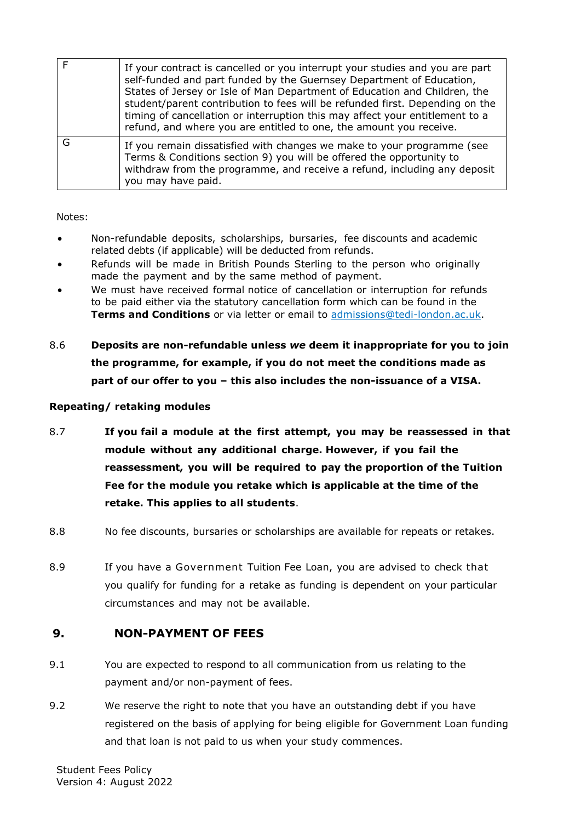| If your contract is cancelled or you interrupt your studies and you are part<br>self-funded and part funded by the Guernsey Department of Education,<br>States of Jersey or Isle of Man Department of Education and Children, the<br>student/parent contribution to fees will be refunded first. Depending on the<br>timing of cancellation or interruption this may affect your entitlement to a<br>refund, and where you are entitled to one, the amount you receive. |
|-------------------------------------------------------------------------------------------------------------------------------------------------------------------------------------------------------------------------------------------------------------------------------------------------------------------------------------------------------------------------------------------------------------------------------------------------------------------------|
| If you remain dissatisfied with changes we make to your programme (see<br>Terms & Conditions section 9) you will be offered the opportunity to<br>withdraw from the programme, and receive a refund, including any deposit<br>you may have paid.                                                                                                                                                                                                                        |

Notes:

- Non-refundable deposits, scholarships, bursaries, fee discounts and academic related debts (if applicable) will be deducted from refunds.
- Refunds will be made in British Pounds Sterling to the person who originally made the payment and by the same method of payment.
- We must have received formal notice of cancellation or interruption for refunds to be paid either via the statutory cancellation form which can be found in the **Terms and Conditions** or via letter or email to admissions@tedi-london.ac.uk.
- 8.6 **Deposits are non-refundable unless** *we* **deem it inappropriate for you to join the programme, for example, if you do not meet the conditions made as part of our offer to you – this also includes the non-issuance of a VISA.**

#### **Repeating/ retaking modules**

- 8.7 **If you fail a module at the first attempt, you may be reassessed in that module without any additional charge. However, if you fail the reassessment, you will be required to pay the proportion of the Tuition Fee for the module you retake which is applicable at the time of the retake. This applies to all students**.
- 8.8 No fee discounts, bursaries or scholarships are available for repeats or retakes.
- 8.9 If you have a Government Tuition Fee Loan, you are advised to check that you qualify for funding for a retake as funding is dependent on your particular circumstances and may not be available.

### <span id="page-13-0"></span>**9. NON-PAYMENT OF FEES**

- 9.1 You are expected to respond to all communication from us relating to the payment and/or non-payment of fees.
- 9.2 We reserve the right to note that you have an outstanding debt if you have registered on the basis of applying for being eligible for Government Loan funding and that loan is not paid to us when your study commences.